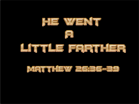





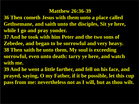#### **Matthew 26:36-39**

- **36 Then cometh Jesus with them unto a place called Gethsemane, and saith unto the disciples, Sit ye here, while I go and pray yonder.**
- **37 And he took with him Peter and the two sons of Zebedee, and began to be sorrowful and very heavy. 38 Then saith he unto them, My soul is exceeding sorrowful, even unto death: tarry ye here, and watch with me.**
- **39 And he went a little farther, and fell on his face, and prayed, saying, O my Father, if it be possible, let this cup pass from me: nevertheless not as I will, but as thou wilt.**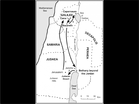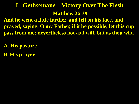# **Matthew 26:39 I. Gethsemane – Victory Over The Flesh**

**And he went a little farther, and fell on his face, and prayed, saying, O my Father, if it be possible, let this cup pass from me: nevertheless not as I will, but as thou wilt.**

**A. His posture**

**B. His prayer**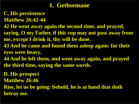# **I. Gethsemane**

**C. His persistence**

**Matthew 26:42-44**

**42 He went away again the second time, and prayed,** 

**saying, O my Father, if this cup may not pass away from me, except I drink it, thy will be done.**

- **43 And he came and found them asleep again: for their eyes were heavy.**
- **44 And he left them, and went away again, and prayed the third time, saying the same words. .**

**D. His prospect**

**Matthew 26:46**

**Rise, let us be going: behold, he is at hand that doth betray me.**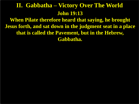# **John 19:13 II. Gabbatha – Victory Over The World**

**When Pilate therefore heard that saying, he brought Jesus forth, and sat down in the judgment seat in a place that is called the Pavement, but in the Hebrew, Gabbatha.**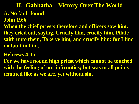**A. No fault found John 19:6 When the chief priests therefore and officers saw him, they cried out, saying, Crucify him, crucify him. Pilate saith unto them, Take ye him, and crucify him: for I find no fault in him. II. Gabbatha – Victory Over The World**

**Hebrews 4:15**

**For we have not an high priest which cannot be touched with the feeling of our infirmities; but was in all points tempted like as we are, yet without sin.**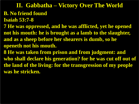**B. No friend found Isaiah 53:7-8 7 He was oppressed, and he was afflicted, yet he opened not his mouth: he is brought as a lamb to the slaughter, and as a sheep before her shearers is dumb, so he openeth not his mouth. 8 He was taken from prison and from judgment: and who shall declare his generation? for he was cut off out of the land of the living: for the transgression of my people was he stricken. II. Gabbatha – Victory Over The World**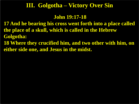## **III. Golgotha – Victory Over Sin**

#### **John 19:17-18**

**17 And he bearing his cross went forth into a place called the place of a skull, which is called in the Hebrew Golgotha:**

**18 Where they crucified him, and two other with him, on either side one, and Jesus in the midst.**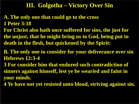## **III. Golgotha – Victory Over Sin**

- **A. The only one that could go to the cross 1 Peter 3:18 For Christ also hath once suffered for sins, the just for the unjust, that he might bring us to God, being put to**
- **death in the flesh, but quickened by the Spirit:**
- **B. The only one to consider for your deliverance over sin Hebrews 12:3-4**
- **3 For consider him that endured such contradiction of sinners against himself, lest ye be wearied and faint in your minds.**
- **4 Ye have not yet resisted unto blood, striving against sin.**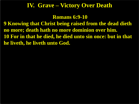### **IV. Grave – Victory Over Death**

**Romans 6:9-10**

**9 Knowing that Christ being raised from the dead dieth no more; death hath no more dominion over him. 10 For in that he died, he died unto sin once: but in that he liveth, he liveth unto God.**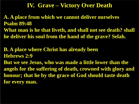### **IV. Grave – Victory Over Death**

**A. A place from which we cannot deliver ourselves Psalm 89:48 What man is he that liveth, and shall not see death? shall** 

**he deliver his soul from the hand of the grave? Selah.**

**B. A place where Christ has already been Hebrews 2:9**

**But we see Jesus, who was made a little lower than the angels for the suffering of death, crowned with glory and honour; that he by the grace of God should taste death for every man.**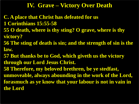## **IV. Grave – Victory Over Death**

- **C. A place that Christ has defeated for us 1 Corinthians 15:55-58**
- **55 O death, where is thy sting? O grave, where is thy victory?**
- **56 The sting of death is sin; and the strength of sin is the law.**
- **57 But thanks be to God, which giveth us the victory through our Lord Jesus Christ.**
- **58 Therefore, my beloved brethren, be ye stedfast, unmoveable, always abounding in the work of the Lord, forasmuch as ye know that your labour is not in vain in the Lord**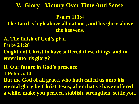### **V. Glory - Victory Over Time And Sense**

#### **Psalm 113:4**

**The Lord is high above all nations, and his glory above the heavens.**

- **A. The finish of God's plan**
- **Luke 24:26**
- **Ought not Christ to have suffered these things, and to enter into his glory?**
- **B. Our future in God's presence**
- **1 Peter 5:10**
- **But the God of all grace, who hath called us unto his eternal glory by Christ Jesus, after that ye have suffered a while, make you perfect, stablish, strengthen, settle you.**